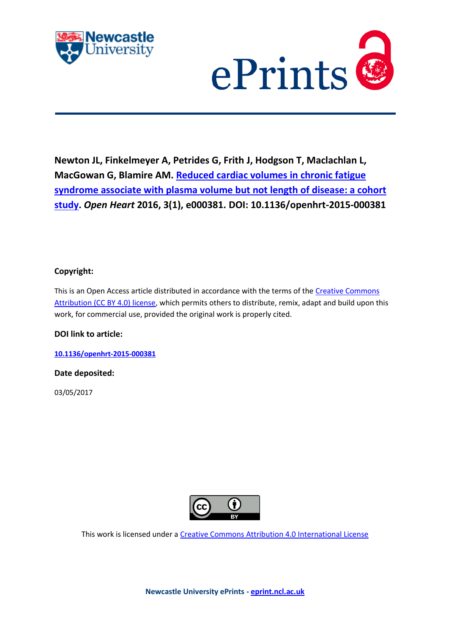



**Newton JL, Finkelmeyer A, Petrides G, Frith J, Hodgson T, Maclachlan L, MacGowan G, Blamire AM. [Reduced cardiac volumes in chronic fatigue](http://eprint.ncl.ac.uk/pub_details2.aspx?pub_id=230228)  [syndrome associate with plasma volume but not length of disease: a cohort](http://eprint.ncl.ac.uk/pub_details2.aspx?pub_id=230228)  [study.](http://eprint.ncl.ac.uk/pub_details2.aspx?pub_id=230228)** *Open Heart* **2016, 3(1), e000381. DOI: 10.1136/openhrt-2015-000381**

# **Copyright:**

This is an Open Access article distributed in accordance with the terms of the Creative Commons [Attribution \(CC BY 4.0\) license,](http://creativecommons.org/licenses/by/4.0/) which permits others to distribute, remix, adapt and build upon this work, for commercial use, provided the original work is properly cited.

**DOI link to article:**

**[10.1136/openhrt-2015-000381](https://doi.org/10.1136/openhrt-2015-000381)**

# **Date deposited:**

03/05/2017



This work is licensed under a [Creative Commons Attribution 4.0 International License](http://creativecommons.org/licenses/by/4.0/)

**Newcastle University ePrints - [eprint.ncl.ac.uk](http://eprint.ncl.ac.uk/)**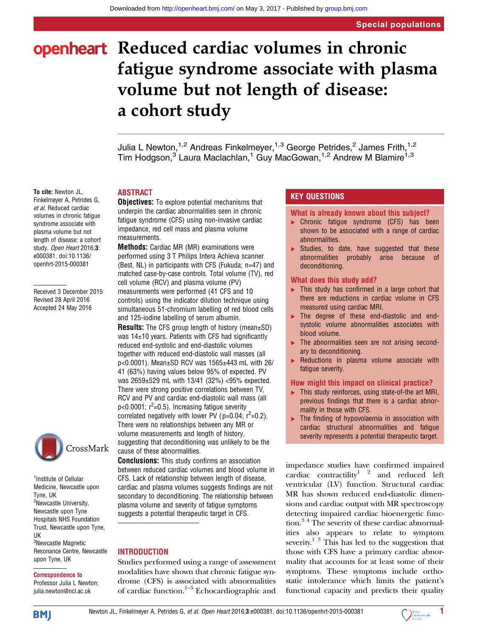# openheart Reduced cardiac volumes in chronic fatigue syndrome associate with plasma volume but not length of disease: a cohort study

Julia L Newton,<sup>1,2</sup> Andreas Finkelmeyer,<sup>1,3</sup> George Petrides,<sup>2</sup> James Frith,<sup>1,2</sup> Tim Hodgson,<sup>3</sup> Laura Maclachlan,<sup>1</sup> Guy MacGowan,<sup>1,2</sup> Andrew M Blamire<sup>1,3</sup>

# ABSTRACT

**Objectives:** To explore potential mechanisms that underpin the cardiac abnormalities seen in chronic fatigue syndrome (CFS) using non-invasive cardiac impedance, red cell mass and plasma volume measurements.

Methods: Cardiac MR (MR) examinations were performed using 3 T Philips Intera Achieva scanner (Best, NL) in participants with CFS (Fukuda; n=47) and matched case-by-case controls. Total volume (TV), red cell volume (RCV) and plasma volume (PV) measurements were performed (41 CFS and 10 controls) using the indicator dilution technique using simultaneous 51-chromium labelling of red blood cells and 125-iodine labelling of serum albumin.

Results: The CFS group length of history (mean±SD) was 14±10 years. Patients with CFS had significantly reduced end-systolic and end-diastolic volumes together with reduced end-diastolic wall masses (all p<0.0001). Mean±SD RCV was 1565±443 mL with 26/ 41 (63%) having values below 95% of expected. PV was 2659±529 mL with 13/41 (32%) <95% expected. There were strong positive correlations between TV, RCV and PV and cardiac end-diastolic wall mass (all  $p<0.0001$ ;  $r<sup>2</sup>=0.5$ ). Increasing fatigue severity correlated negatively with lower PV ( $p=0.04$ ;  $r^2=0.2$ ). There were no relationships between any MR or volume measurements and length of history, suggesting that deconditioning was unlikely to be the cause of these abnormalities.

Conclusions: This study confirms an association between reduced cardiac volumes and blood volume in CFS. Lack of relationship between length of disease, cardiac and plasma volumes suggests findings are not secondary to deconditioning. The relationship between plasma volume and severity of fatigue symptoms suggests a potential therapeutic target in CFS.

#### **INTRODUCTION**

Studies performed using a range of assessment modalities have shown that chronic fatigue syndrome (CFS) is associated with abnormalities of cardiac function[.1](#page-5-0)–<sup>5</sup> Echocardiographic and

# KEY QUESTIONS

#### What is already known about this subject?

- ▸ Chronic fatigue syndrome (CFS) has been shown to be associated with a range of cardiac abnormalities.
- ▶ Studies, to date, have suggested that these abnormalities probably arise because of deconditioning.

#### What does this study add?

- ▶ This study has confirmed in a large cohort that there are reductions in cardiac volume in CFS measured using cardiac MRI.
- ▸ The degree of these end-diastolic and endsystolic volume abnormalities associates with blood volume.
- ▸ The abnormalities seen are not arising secondary to deconditioning.
- ▸ Reductions in plasma volume associate with fatigue severity.

# How might this impact on clinical practice?

- ▸ This study reinforces, using state-of-the art MRI, previous findings that there is a cardiac abnormality in those with CFS.
- $\blacktriangleright$  The finding of hypovolaemia in association with cardiac structural abnormalities and fatigue severity represents a potential therapeutic target.

impedance studies have confirmed impaired cardiac contractility<sup>1</sup> <sup>2</sup> and reduced left ventricular (LV) function. Structural cardiac MR has shown reduced end-diastolic dimensions and cardiac output with MR spectroscopy detecting impaired cardiac bioenergetic function.<sup>34</sup> The severity of these cardiac abnormalities also appears to relate to symptom severity.<sup>[1 3](#page-5-0)</sup> This has led to the suggestion that those with CFS have a primary cardiac abnormality that accounts for at least some of their symptoms. These symptoms include orthostatic intolerance which limits the patient's functional capacity and predicts their quality

Finkelmeyer A, Petrides G, et al. Reduced cardiac volumes in chronic fatigue syndrome associate with plasma volume but not length of disease: a cohort study. Open Heart 2016;3: e000381. doi:10.1136/ openhrt-2015-000381

To cite: Newton JL,

Received 3 December 2015 Revised 28 April 2016 Accepted 24 May 2016



1 Institute of Cellular Medicine, Newcastle upon Tyne, UK <sup>2</sup>Newcastle University, Newcastle upon Tyne Hospitals NHS Foundation Trust, Newcastle upon Tyne, UK <sup>3</sup>Newcastle Magnetic Resonance Centre, Newcastle upon Tyne, UK

#### Correspondence to

Professor Julia L Newton; julia.newton@ncl.ac.uk

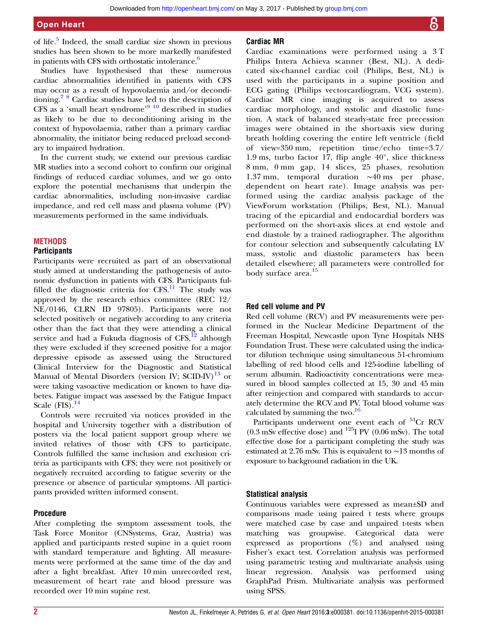of life.<sup>[5](#page-5-0)</sup> Indeed, the small cardiac size shown in previous studies has been shown to be more markedly manifested in patients with CFS with orthostatic intolerance. $6$ 

Studies have hypothesised that these numerous cardiac abnormalities identified in patients with CFS may occur as a result of hypovolaemia and/or deconditioning.[7 8](#page-5-0) Cardiac studies have led to the description of CFS as a 'small heart syndrome' [9 10](#page-5-0) described in studies as likely to be due to deconditioning arising in the context of hypovolaemia, rather than a primary cardiac abnormality, the initiator being reduced preload secondary to impaired hydration.

In the current study, we extend our previous cardiac MR studies into a second cohort to confirm our original findings of reduced cardiac volumes, and we go onto explore the potential mechanisms that underpin the cardiac abnormalities, including non-invasive cardiac impedance, and red cell mass and plasma volume (PV) measurements performed in the same individuals.

#### **METHODS**

## **Participants**

Participants were recruited as part of an observational study aimed at understanding the pathogenesis of autonomic dysfunction in patients with CFS. Participants fulfilled the diagnostic criteria for  $CFS$ .<sup>[11](#page-5-0)</sup> The study was approved by the research ethics committee (REC 12/ NE/0146, CLRN ID 97805). Participants were not selected positively or negatively according to any criteria other than the fact that they were attending a clinical service and had a Fukuda diagnosis of  $CFS$ ,<sup>[12](#page-5-0)</sup> although they were excluded if they screened positive for a major depressive episode as assessed using the Structured Clinical Interview for the Diagnostic and Statistical Manual of Mental Disorders (version IV; SCID-IV)<sup>[13](#page-5-0)</sup> or were taking vasoactive medication or known to have diabetes. Fatigue impact was assessed by the Fatigue Impact Scale (FIS).<sup>[14](#page-5-0)</sup>

Controls were recruited via notices provided in the hospital and University together with a distribution of posters via the local patient support group where we invited relatives of those with CFS to participate. Controls fulfilled the same inclusion and exclusion criteria as participants with CFS; they were not positively or negatively recruited according to fatigue severity or the presence or absence of particular symptoms. All participants provided written informed consent.

## Procedure

After completing the symptom assessment tools, the Task Force Monitor (CNSystems, Graz, Austria) was applied and participants rested supine in a quiet room with standard temperature and lighting. All measurements were performed at the same time of the day and after a light breakfast. After 10 min unrecorded rest, measurement of heart rate and blood pressure was recorded over 10 min supine rest.

#### Cardiac MR

Cardiac examinations were performed using a 3 T Philips Intera Achieva scanner (Best, NL). A dedicated six-channel cardiac coil (Philips, Best, NL) is used with the participants in a supine position and ECG gating (Philips vectorcardiogram, VCG system). Cardiac MR cine imaging is acquired to assess cardiac morphology, and systolic and diastolic function. A stack of balanced steady-state free precession images were obtained in the short-axis view during breath holding covering the entire left ventricle (field of view=350 mm, repetition time/echo time=3.7/ 1.9 ms, turbo factor 17, flip angle 40°, slice thickness 8 mm, 0 mm gap, 14 slices, 25 phases, resolution 1.37 mm, temporal duration ∼40 ms per phase, dependent on heart rate). Image analysis was performed using the cardiac analysis package of the ViewForum workstation (Philips, Best, NL). Manual tracing of the epicardial and endocardial borders was performed on the short-axis slices at end systole and end diastole by a trained radiographer. The algorithm for contour selection and subsequently calculating LV mass, systolic and diastolic parameters has been detailed elsewhere; all parameters were controlled for body surface area.<sup>[15](#page-5-0)</sup>

# Red cell volume and PV

Red cell volume (RCV) and PV measurements were performed in the Nuclear Medicine Department of the Freeman Hospital, Newcastle upon Tyne Hospitals NHS Foundation Trust. These were calculated using the indicator dilution technique using simultaneous 51-chromium labelling of red blood cells and 125-iodine labelling of serum albumin. Radioactivity concentrations were measured in blood samples collected at 15, 30 and 45 min after reinjection and compared with standards to accurately determine the RCV and PV. Total blood volume was calculated by summing the two. $16$ 

Participants underwent one event each of <sup>51</sup>Cr RCV  $(0.3 \text{ mSv}$  effective dose) and  $^{125}$ I PV  $(0.06 \text{ mSv})$ . The total effective dose for a participant completing the study was estimated at 2.76 mSv. This is equivalent to ∼13 months of exposure to background radiation in the UK.

#### Statistical analysis

Continuous variables were expressed as mean±SD and comparisons made using paired t tests where groups were matched case by case and unpaired t-tests when matching was groupwise. Categorical data were expressed as proportions (%) and analysed using Fisher's exact test. Correlation analysis was performed using parametric testing and multivariate analysis using linear regression. Analysis was performed using GraphPad Prism. Multivariate analysis was performed using SPSS.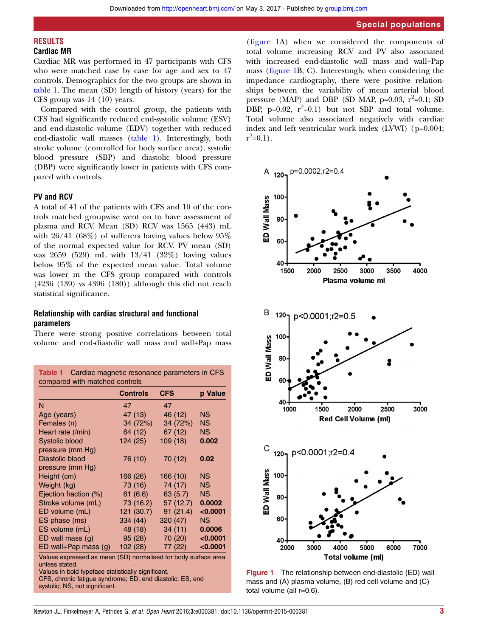# **RESULTS** Cardiac MR

Cardiac MR was performed in 47 participants with CFS who were matched case by case for age and sex to 47 controls. Demographics for the two groups are shown in table 1. The mean (SD) length of history (years) for the CFS group was 14 (10) years.

Compared with the control group, the patients with CFS had significantly reduced end-systolic volume (ESV) and end-diastolic volume (EDV) together with reduced end-diastolic wall masses (table 1). Interestingly, both stroke volume (controlled for body surface area), systolic blood pressure (SBP) and diastolic blood pressure (DBP) were significantly lower in patients with CFS compared with controls.

# PV and RCV

A total of 41 of the patients with CFS and 10 of the controls matched groupwise went on to have assessment of plasma and RCV. Mean (SD) RCV was 1565 (443) mL with 26/41 (68%) of sufferers having values below 95% of the normal expected value for RCV. PV mean (SD) was 2659 (529) mL with 13/41 (32%) having values below 95% of the expected mean value. Total volume was lower in the CFS group compared with controls (4236 (139) vs 4396 (180)) although this did not reach statistical significance.

# Relationship with cardiac structural and functional parameters

There were strong positive correlations between total volume and end-diastolic wall mass and wall+Pap mass

Table 1 Cardiac magnetic resonance parameters in CFS

| compared with matched controls                                                                                                        |            |            |           |  |
|---------------------------------------------------------------------------------------------------------------------------------------|------------|------------|-----------|--|
|                                                                                                                                       | Controls   | <b>CFS</b> | p Value   |  |
| N                                                                                                                                     | 47         | 47         |           |  |
| Age (years)                                                                                                                           | 47 (13)    | 46 (12)    | ΝS        |  |
| Females (n)                                                                                                                           | 34 (72%)   | 34 (72%)   | <b>NS</b> |  |
| Heart rate (/min)                                                                                                                     | 64 (12)    | 67 (12)    | ΝS        |  |
| Systolic blood                                                                                                                        | 124 (25)   | 109 (18)   | 0.002     |  |
| pressure (mm Hg)                                                                                                                      |            |            |           |  |
| Diastolic blood                                                                                                                       | 76 (10)    | 70 (12)    | 0.02      |  |
| pressure (mm Hg)                                                                                                                      |            |            |           |  |
| Height (cm)                                                                                                                           | 166 (26)   | 166 (10)   | ΝS        |  |
| Weight (kg)                                                                                                                           | 73 (16)    | 74 (17)    | NS.       |  |
| Ejection fraction (%)                                                                                                                 | 61(6.6)    | 63(5.7)    | ΝS        |  |
| Stroke volume (mL)                                                                                                                    | 73 (16.2)  | 57 (12.7)  | 0.0002    |  |
| ED volume (mL)                                                                                                                        | 121 (30.7) | 91(21.4)   | < 0.0001  |  |
| ES phase (ms)                                                                                                                         | 334 (44)   | 320 (47)   | NS.       |  |
| ES volume (mL)                                                                                                                        | 48 (18)    | 34(11)     | 0.0006    |  |
| $ED$ wall mass $(g)$                                                                                                                  | 95 (28)    | 70 (20)    | < 0.0001  |  |
| ED wall+Pap mass (g)                                                                                                                  | 102 (28)   | 77 (22)    | < 0.0001  |  |
| Values expressed as mean (SD) normalised for body surface area<br>unless stated.<br>Values in hold typoface statistically significant |            |            |           |  |

Values in bold typeface statistically significant.

CFS, chronic fatigue syndrome; ED, end diastolic; ES, end

systolic; NS, not significant.

(figure 1A) when we considered the components of total volume increasing RCV and PV also associated with increased end-diastolic wall mass and wall+Pap mass (figure 1B, C). Interestingly, when considering the impedance cardiography, there were positive relationships between the variability of mean arterial blood pressure (MAP) and DBP (SD MAP, p=0.03,  $r^2$ =0.1; SD DBP,  $p=0.02$ ,  $r^2=0.1$ ) but not SBP and total volume. Total volume also associated negatively with cardiac index and left ventricular work index (LVWI) (p=0.004;  $r^2=0.1$ ).



Figure 1 The relationship between end-diastolic (ED) wall mass and (A) plasma volume, (B) red cell volume and (C) total volume (all r=0.6).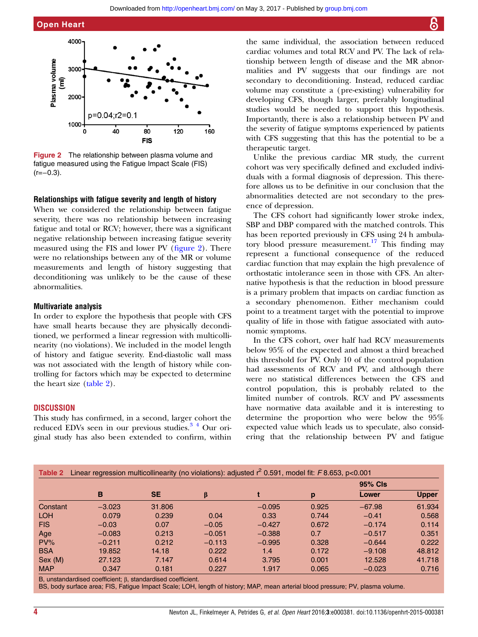

Figure 2 The relationship between plasma volume and fatigue measured using the Fatigue Impact Scale (FIS)  $(r=-0.3)$ .

#### Relationships with fatigue severity and length of history

When we considered the relationship between fatigue severity, there was no relationship between increasing fatigue and total or RCV; however, there was a significant negative relationship between increasing fatigue severity measured using the FIS and lower PV (figure 2). There were no relationships between any of the MR or volume measurements and length of history suggesting that deconditioning was unlikely to be the cause of these abnormalities.

## Multivariate analysis

In order to explore the hypothesis that people with CFS have small hearts because they are physically deconditioned, we performed a linear regression with multicollinearity (no violations). We included in the model length of history and fatigue severity. End-diastolic wall mass was not associated with the length of history while controlling for factors which may be expected to determine the heart size (table 2).

#### **DISCUSSION**

This study has confirmed, in a second, larger cohort the reduced EDVs seen in our previous studies.<sup>3</sup> <sup>4</sup> Our original study has also been extended to confirm, within

the same individual, the association between reduced cardiac volumes and total RCV and PV. The lack of relationship between length of disease and the MR abnormalities and PV suggests that our findings are not secondary to deconditioning. Instead, reduced cardiac volume may constitute a (pre-existing) vulnerability for developing CFS, though larger, preferably longitudinal studies would be needed to support this hypothesis. Importantly, there is also a relationship between PV and the severity of fatigue symptoms experienced by patients with CFS suggesting that this has the potential to be a therapeutic target.

Unlike the previous cardiac MR study, the current cohort was very specifically defined and excluded individuals with a formal diagnosis of depression. This therefore allows us to be definitive in our conclusion that the abnormalities detected are not secondary to the presence of depression.

The CFS cohort had significantly lower stroke index, SBP and DBP compared with the matched controls. This has been reported previously in CFS using 24 h ambula-tory blood pressure measurement.<sup>[17](#page-5-0)</sup> This finding may represent a functional consequence of the reduced cardiac function that may explain the high prevalence of orthostatic intolerance seen in those with CFS. An alternative hypothesis is that the reduction in blood pressure is a primary problem that impacts on cardiac function as a secondary phenomenon. Either mechanism could point to a treatment target with the potential to improve quality of life in those with fatigue associated with autonomic symptoms.

In the CFS cohort, over half had RCV measurements below 95% of the expected and almost a third breached this threshold for PV. Only 10 of the control population had assessments of RCV and PV, and although there were no statistical differences between the CFS and control population, this is probably related to the limited number of controls. RCV and PV assessments have normative data available and it is interesting to determine the proportion who were below the 95% expected value which leads us to speculate, also considering that the relationship between PV and fatigue

| Table 2    | Linear regression multicollinearity (no violations): adjusted $r^2$ 0.591, model fit: F8.653, p<0.001 |           |          |          |       |          |              |  |
|------------|-------------------------------------------------------------------------------------------------------|-----------|----------|----------|-------|----------|--------------|--|
|            |                                                                                                       |           |          |          |       | 95% Cls  |              |  |
|            | B                                                                                                     | <b>SE</b> | ß        |          | р     | Lower    | <b>Upper</b> |  |
| Constant   | $-3.023$                                                                                              | 31,806    |          | $-0.095$ | 0.925 | $-67.98$ | 61.934       |  |
| <b>LOH</b> | 0.079                                                                                                 | 0.239     | 0.04     | 0.33     | 0.744 | $-0.41$  | 0.568        |  |
| <b>FIS</b> | $-0.03$                                                                                               | 0.07      | $-0.05$  | $-0.427$ | 0.672 | $-0.174$ | 0.114        |  |
| Age        | $-0.083$                                                                                              | 0.213     | $-0.051$ | $-0.388$ | 0.7   | $-0.517$ | 0.351        |  |
| PV%        | $-0.211$                                                                                              | 0.212     | $-0.113$ | $-0.995$ | 0.328 | $-0.644$ | 0.222        |  |
| <b>BSA</b> | 19.852                                                                                                | 14.18     | 0.222    | 1.4      | 0.172 | $-9.108$ | 48.812       |  |
| Sex (M)    | 27.123                                                                                                | 7.147     | 0.614    | 3.795    | 0.001 | 12.528   | 41.718       |  |
| <b>MAP</b> | 0.347                                                                                                 | 0.181     | 0.227    | 1.917    | 0.065 | $-0.023$ | 0.716        |  |

B, unstandardised coefficient; β, standardised coefficient.

BS, body surface area; FIS, Fatigue Impact Scale; LOH, length of history; MAP, mean arterial blood pressure; PV, plasma volume.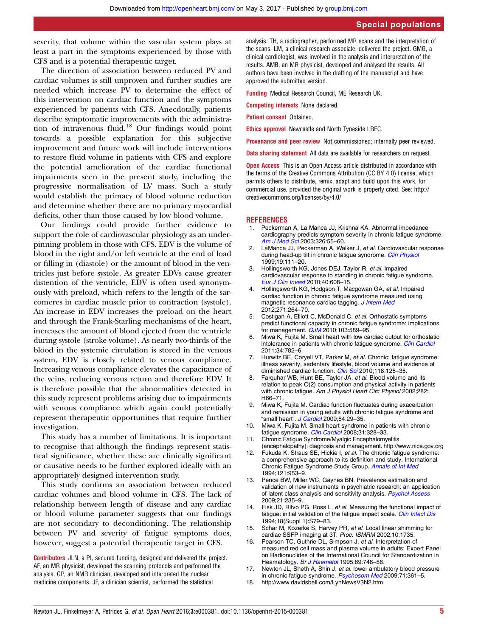<span id="page-5-0"></span>severity, that volume within the vascular system plays at least a part in the symptoms experienced by those with CFS and is a potential therapeutic target.

The direction of association between reduced PV and cardiac volumes is still unproven and further studies are needed which increase PV to determine the effect of this intervention on cardiac function and the symptoms experienced by patients with CFS. Anecdotally, patients describe symptomatic improvements with the administration of intravenous fluid. $18$  Our findings would point towards a possible explanation for this subjective improvement and future work will include interventions to restore fluid volume in patients with CFS and explore the potential amelioration of the cardiac functional impairments seen in the present study, including the progressive normalisation of LV mass. Such a study would establish the primacy of blood volume reduction and determine whether there are no primary myocardial deficits, other than those caused by low blood volume.

Our findings could provide further evidence to support the role of cardiovascular physiology as an underpinning problem in those with CFS. EDV is the volume of blood in the right and/or left ventricle at the end of load or filling in (diastole) or the amount of blood in the ventricles just before systole. As greater EDVs cause greater distention of the ventricle, EDV is often used synonymously with preload, which refers to the length of the sarcomeres in cardiac muscle prior to contraction (systole). An increase in EDV increases the preload on the heart and through the Frank-Starling mechanisms of the heart, increases the amount of blood ejected from the ventricle during systole (stroke volume). As nearly two-thirds of the blood in the systemic circulation is stored in the venous system, EDV is closely related to venous compliance. Increasing venous compliance elevates the capacitance of the veins, reducing venous return and therefore EDV. It is therefore possible that the abnormalities detected in this study represent problems arising due to impairments with venous compliance which again could potentially represent therapeutic opportunities that require further investigation.

This study has a number of limitations. It is important to recognise that although the findings represent statistical significance, whether these are clinically significant or causative needs to be further explored ideally with an appropriately designed intervention study.

This study confirms an association between reduced cardiac volumes and blood volume in CFS. The lack of relationship between length of disease and any cardiac or blood volume parameter suggests that our findings are not secondary to deconditioning. The relationship between PV and severity of fatigue symptoms does, however, suggest a potential therapeutic target in CFS.

Contributors JLN, a PI, secured funding, designed and delivered the project. AF, an MR physicist, developed the scanning protocols and performed the analysis. GP, an NMR clinician, developed and interpreted the nuclear medicine components. JF, a clinician scientist, performed the statistical

analysis. TH, a radiographer, performed MR scans and the interpretation of the scans. LM, a clinical research associate, delivered the project. GMG, a clinical cardiologist, was involved in the analysis and interpretation of the results. AMB, an MR physicist, developed and analysed the results. All authors have been involved in the drafting of the manuscript and have approved the submitted version.

Funding Medical Research Council, ME Research UK.

Competing interests None declared.

Patient consent Obtained.

Ethics approval Newcastle and North Tyneside LREC.

**Provenance and peer review** Not commissioned; internally peer reviewed.

Data sharing statement All data are available for researchers on request.

**Open Access** This is an Open Access article distributed in accordance with the terms of the Creative Commons Attribution (CC BY 4.0) license, which permits others to distribute, remix, adapt and build upon this work, for commercial use, provided the original work is properly cited. See: [http://](http://creativecommons.org/licenses/by/4.0/) [creativecommons.org/licenses/by/4.0/](http://creativecommons.org/licenses/by/4.0/)

#### **REFERENCES**

- 1. Peckerman A, La Manca JJ, Krishna KA. Abnormal impedance cardiography predicts symptom severity in chronic fatigue syndrome. [Am J Med Sci](http://dx.doi.org/10.1097/00000441-200308000-00001) 2003;326:55-60.
- 2. LaManca JJ, Peckerman A, Walker J, et al. Cardiovascular response during head-up tilt in chronic fatigue syndrome. [Clin Physiol](http://dx.doi.org/10.1046/j.1365-2281.1999.00154.x) 1999;19:111–20.
- 3. Hollingsworth KG, Jones DEJ, Taylor R, et al. Impaired cardiovascular response to standing in chronic fatigue syndrome. [Eur J Clin Invest](http://dx.doi.org/10.1111/j.1365-2362.2010.02310.x) 2010;40:608–15.
- 4. Hollingsworth KG, Hodgson T, Macgowan GA, et al. Impaired cardiac function in chronic fatigue syndrome measured using magnetic resonance cardiac tagging. [J Intern Med](http://dx.doi.org/10.1111/j.1365-2796.2011.02429.x) 2012;271:264–70.
- 5. Costigan A, Elliott C, McDonald C, et al. Orthostatic symptoms predict functional capacity in chronic fatigue syndrome: implications for management. [QJM](http://dx.doi.org/10.1093/qjmed/hcq094) 2010;103:589–95.
- 6. Miwa K, Fujita M. Small heart with low cardiac output for orthostatic intolerance in patients with chronic fatigue syndrome. [Clin Cardiol](http://dx.doi.org/10.1002/clc.20962) 2011;34:782–6.
- 7. Hurwitz BE, Coryell VT, Parker M, et al. Chronic: fatigue syndrome: illness severity, sedentary lifestyle, blood volume and evidence of diminished cardiac function. [Clin Sci](http://dx.doi.org/10.1042/CS20090055) 2010;118:125-35.
- 8. Farquhar WB, Hunt BE, Taylor JA, et al. Blood volume and its relation to peak O(2) consumption and physical activity in patients with chronic fatigue. Am J Physiol Heart Circ Physiol 2002;282: H66–71.
- 9. Miwa K, Fujita M. Cardiac function fluctuates during exacerbation and remission in young adults with chronic fatigue syndrome and "small heart". [J Cardiol](http://dx.doi.org/10.1016/j.jjcc.2009.02.008) 2009;54:29-35.
- 10. Miwa K, Fujita M. Small heart syndrome in patients with chronic fatigue syndrome. [Clin Cardiol](http://dx.doi.org/10.1002/clc.20227) 2008;31:328-33.
- 11. Chronic Fatigue Syndrome/Myalgic Encephalomyelitis (encephalopathy); diagnosis and management.<http://www.nice.gov.org>
- 12. Fukuda K, Straus SE, Hickie I, et al. The chronic fatigue syndrome: a comprehensive approach to its definition and study. International Chronic Fatigue Syndrome Study Group. [Annals of Int Med](http://dx.doi.org/10.7326/0003-4819-121-12-199412150-00009) 1994;121:953–9.
- 13. Pence BW, Miller WC, Gaynes BN. Prevalence estimation and validation of new instruments in psychiatric research: an application of latent class analysis and sensitivity analysis. [Psychol Assess](http://dx.doi.org/10.1037/a0015686) 2009;21:235–9.
- 14. Fisk JD, Ritvo PG, Ross L, et al. Measuring the functional impact of fatigue: initial validation of the fatigue impact scale. [Clin Infect Dis](http://dx.doi.org/10.1093/clinids/18.Supplement_1.S79) 1994;18(Suppl 1):S79–83.
- 15. Schar M, Kozerke S, Harvey PR, et al. Local linear shimming for cardiac SSFP imaging at 3T. Proc. ISMRM 2002;10:1735.
- 16. Pearson TC, Guthrie DL, Simpson J, et al. Interpretation of measured red cell mass and plasma volume in adults: Expert Panel on Radionuclides of the International Council for Standardization in Heamatology. [Br J Haematol](http://dx.doi.org/10.1111/j.1365-2141.1995.tb08411.x) 1995;89:748-56.
- 17. Newton JL, Sheth A, Shin J, et al. lower ambulatory blood pressure in chronic fatigue syndrome. [Psychosom Med](http://dx.doi.org/10.1097/PSY.0b013e31819ccd2a) 2009;71:361-5.
- 18.<http://www.davidsbell.com/LynNewsV3N2.htm>